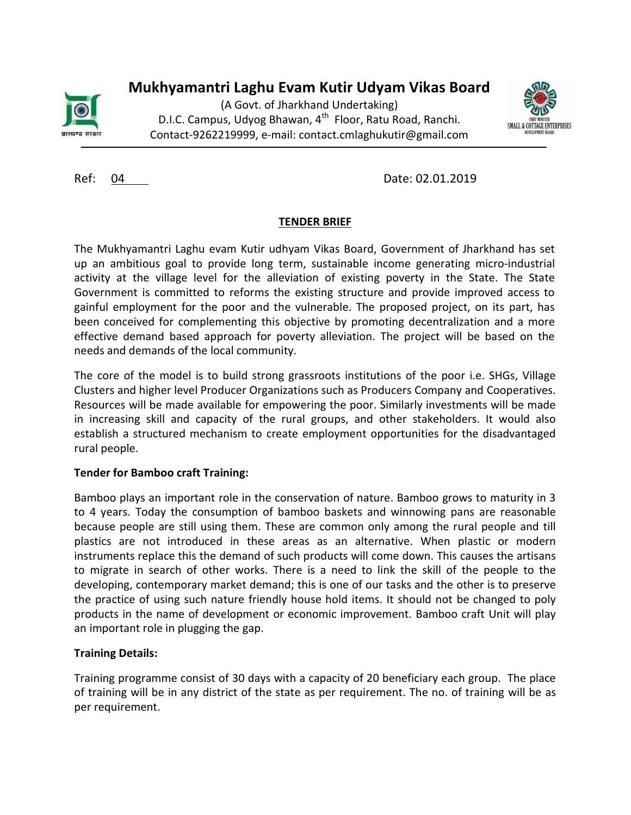

# Mukhyamantri Laghu Evam Kutir Udyam Vikas Board

(A Govt. of Jharkhand Undertaking) D.I.C. Campus, Udyog Bhawan, 4<sup>th</sup> Floor, Ratu Road, Ranchi. Contact-9262219999, e-mail: contact.cmlaghukutir@gmail.com



Ref: 04 Date: 02.01.2019

# TENDER BRIEF

The Mukhyamantri Laghu evam Kutir udhyam Vikas Board, Government of Jharkhand has set up an ambitious goal to provide long term, sustainable income generating micro-industrial activity at the village level for the alleviation of existing poverty in the State. The State Government is committed to reforms the existing structure and provide improved access to gainful employment for the poor and the vulnerable. The proposed project, on its part, has been conceived for complementing this objective by promoting decentralization and a more effective demand based approach for poverty alleviation. The project will be based on the needs and demands of the local community.

The core of the model is to build strong grassroots institutions of the poor i.e. SHGs, Village Clusters and higher level Producer Organizations such as Producers Company and Cooperatives. Resources will be made available for empowering the poor. Similarly investments will be made in increasing skill and capacity of the rural groups, and other stakeholders. It would also establish a structured mechanism to create employment opportunities for the disadvantaged rural people.

# Tender for Bamboo craft Training:

Bamboo plays an important role in the conservation of nature. Bamboo grows to maturity in 3 to 4 years. Today the consumption of bamboo baskets and winnowing pans are reasonable because people are still using them. These are common only among the rural people and till plastics are not introduced in these areas as an alternative. When plastic or modern instruments replace this the demand of such products will come down. This causes the artisans to migrate in search of other works. There is a need to link the skill of the people to the developing, contemporary market demand; this is one of our tasks and the other is to preserve the practice of using such nature friendly house hold items. It should not be changed to poly products in the name of development or economic improvement. Bamboo craft Unit will play an important role in plugging the gap.

# Training Details:

Training programme consist of 30 days with a capacity of 20 beneficiary each group. The place of training will be in any district of the state as per requirement. The no. of training will be as per requirement.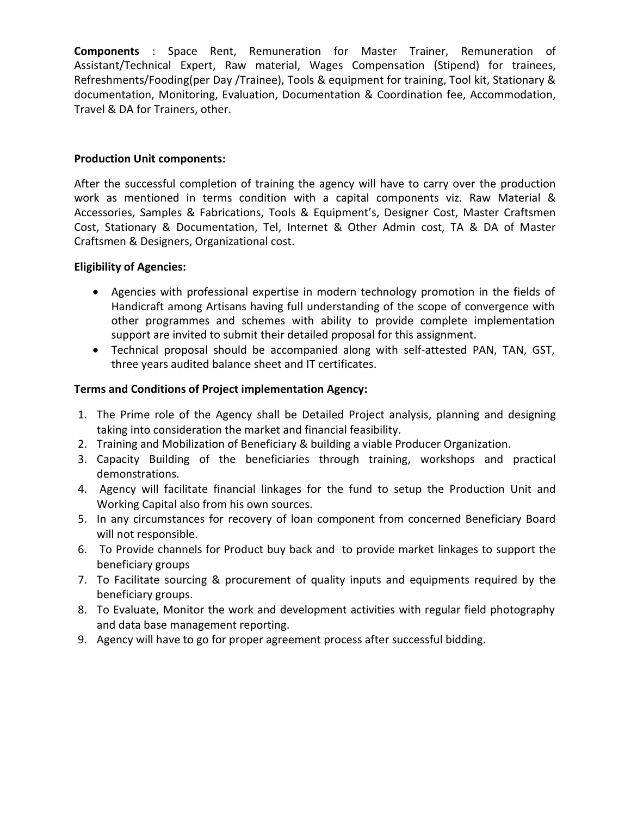Components : Space Rent, Remuneration for Master Trainer, Remuneration of Assistant/Technical Expert, Raw material, Wages Compensation (Stipend) for trainees, Refreshments/Fooding(per Day /Trainee), Tools & equipment for training, Tool kit, Stationary & documentation, Monitoring, Evaluation, Documentation & Coordination fee, Accommodation, Travel & DA for Trainers, other.

#### Production Unit components:

After the successful completion of training the agency will have to carry over the production work as mentioned in terms condition with a capital components viz. Raw Material & Accessories, Samples & Fabrications, Tools & Equipment's, Designer Cost, Master Craftsmen Cost, Stationary & Documentation, Tel, Internet & Other Admin cost, TA & DA of Master Craftsmen & Designers, Organizational cost.

#### Eligibility of Agencies:

- Agencies with professional expertise in modern technology promotion in the fields of Handicraft among Artisans having full understanding of the scope of convergence with other programmes and schemes with ability to provide complete implementation support are invited to submit their detailed proposal for this assignment.
- Technical proposal should be accompanied along with self-attested PAN, TAN, GST, three years audited balance sheet and IT certificates.

#### Terms and Conditions of Project implementation Agency:

- 1. The Prime role of the Agency shall be Detailed Project analysis, planning and designing taking into consideration the market and financial feasibility.
- 2. Training and Mobilization of Beneficiary & building a viable Producer Organization.
- 3. Capacity Building of the beneficiaries through training, workshops and practical demonstrations.
- 4. Agency will facilitate financial linkages for the fund to setup the Production Unit and Working Capital also from his own sources.
- 5. In any circumstances for recovery of loan component from concerned Beneficiary Board will not responsible.
- 6. To Provide channels for Product buy back and to provide market linkages to support the beneficiary groups
- 7. To Facilitate sourcing & procurement of quality inputs and equipments required by the beneficiary groups.
- 8. To Evaluate, Monitor the work and development activities with regular field photography and data base management reporting.
- 9. Agency will have to go for proper agreement process after successful bidding.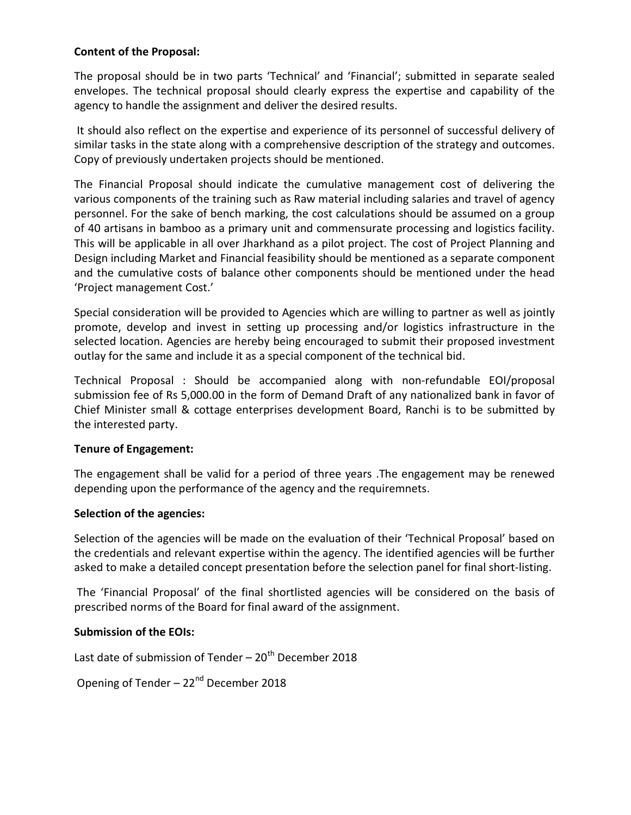#### Content of the Proposal:

The proposal should be in two parts 'Technical' and 'Financial'; submitted in separate sealed envelopes. The technical proposal should clearly express the expertise and capability of the agency to handle the assignment and deliver the desired results.

 It should also reflect on the expertise and experience of its personnel of successful delivery of similar tasks in the state along with a comprehensive description of the strategy and outcomes. Copy of previously undertaken projects should be mentioned.

The Financial Proposal should indicate the cumulative management cost of delivering the various components of the training such as Raw material including salaries and travel of agency personnel. For the sake of bench marking, the cost calculations should be assumed on a group of 40 artisans in bamboo as a primary unit and commensurate processing and logistics facility. This will be applicable in all over Jharkhand as a pilot project. The cost of Project Planning and Design including Market and Financial feasibility should be mentioned as a separate component and the cumulative costs of balance other components should be mentioned under the head 'Project management Cost.'

Special consideration will be provided to Agencies which are willing to partner as well as jointly promote, develop and invest in setting up processing and/or logistics infrastructure in the selected location. Agencies are hereby being encouraged to submit their proposed investment outlay for the same and include it as a special component of the technical bid.

Technical Proposal : Should be accompanied along with non-refundable EOI/proposal submission fee of Rs 5,000.00 in the form of Demand Draft of any nationalized bank in favor of Chief Minister small & cottage enterprises development Board, Ranchi is to be submitted by the interested party.

#### Tenure of Engagement:

The engagement shall be valid for a period of three years .The engagement may be renewed depending upon the performance of the agency and the requiremnets.

#### Selection of the agencies:

Selection of the agencies will be made on the evaluation of their 'Technical Proposal' based on the credentials and relevant expertise within the agency. The identified agencies will be further asked to make a detailed concept presentation before the selection panel for final short-listing.

 The 'Financial Proposal' of the final shortlisted agencies will be considered on the basis of prescribed norms of the Board for final award of the assignment.

#### Submission of the EOIs:

Last date of submission of Tender  $-20<sup>th</sup>$  December 2018

Opening of Tender  $-22<sup>nd</sup>$  December 2018